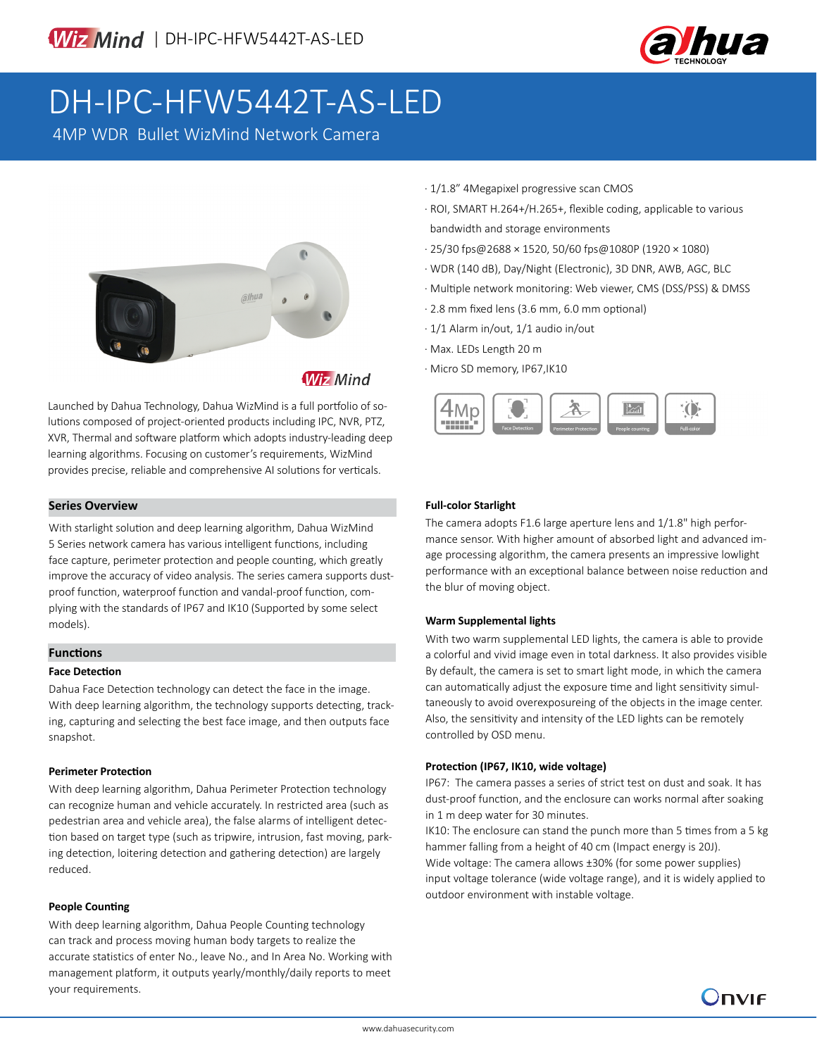

# DH-IPC-HFW5442T-AS-LED

4MP WDR Bullet WizMind Network Camera



**Wiz Mind** 

Launched by Dahua Technology, Dahua WizMind is a full portfolio of solutions composed of project-oriented products including IPC, NVR, PTZ, XVR, Thermal and software platform which adopts industry-leading deep learning algorithms. Focusing on customer's requirements, WizMind provides precise, reliable and comprehensive AI solutions for verticals.

# **Series Overview**

With starlight solution and deep learning algorithm, Dahua WizMind 5 Series network camera has various intelligent functions, including face capture, perimeter protection and people counting, which greatly improve the accuracy of video analysis. The series camera supports dustproof function, waterproof function and vandal-proof function, complying with the standards of IP67 and IK10 (Supported by some select models).

# **Functions**

### **Face Detection**

Dahua Face Detection technology can detect the face in the image. With deep learning algorithm, the technology supports detecting, tracking, capturing and selecting the best face image, and then outputs face snapshot.

### **Perimeter Protection**

With deep learning algorithm, Dahua Perimeter Protection technology can recognize human and vehicle accurately. In restricted area (such as pedestrian area and vehicle area), the false alarms of intelligent detection based on target type (such as tripwire, intrusion, fast moving, parking detection, loitering detection and gathering detection) are largely reduced.

### **People Counting**

With deep learning algorithm, Dahua People Counting technology can track and process moving human body targets to realize the accurate statistics of enter No., leave No., and In Area No. Working with management platform, it outputs yearly/monthly/daily reports to meet your requirements.

- · 1/1.8" 4Megapixel progressive scan CMOS
- · ROI, SMART H.264+/H.265+, flexible coding, applicable to various bandwidth and storage environments
- · 25/30 fps@2688 × 1520, 50/60 fps@1080P (1920 × 1080)
- · WDR (140 dB), Day/Night (Electronic), 3D DNR, AWB, AGC, BLC
- · Multiple network monitoring: Web viewer, CMS (DSS/PSS) & DMSS
- · 2.8 mm fixed lens (3.6 mm, 6.0 mm optional)
- · 1/1 Alarm in/out, 1/1 audio in/out
- · Max. LEDs Length 20 m
- · Micro SD memory, IP67,IK10



# **Full-color Starlight**

The camera adopts F1.6 large aperture lens and 1/1.8" high performance sensor. With higher amount of absorbed light and advanced image processing algorithm, the camera presents an impressive lowlight performance with an exceptional balance between noise reduction and the blur of moving object.

### **Warm Supplemental lights**

With two warm supplemental LED lights, the camera is able to provide a colorful and vivid image even in total darkness. It also provides visible By default, the camera is set to smart light mode, in which the camera can automatically adjust the exposure time and light sensitivity simultaneously to avoid overexposureing of the objects in the image center. Also, the sensitivity and intensity of the LED lights can be remotely controlled by OSD menu.

### **Protection (IP67, IK10, wide voltage)**

IP67: The camera passes a series of strict test on dust and soak. It has dust-proof function, and the enclosure can works normal after soaking in 1 m deep water for 30 minutes.

IK10: The enclosure can stand the punch more than 5 times from a 5 kg hammer falling from a height of 40 cm (Impact energy is 20J).

Wide voltage: The camera allows ±30% (for some power supplies) input voltage tolerance (wide voltage range), and it is widely applied to outdoor environment with instable voltage.

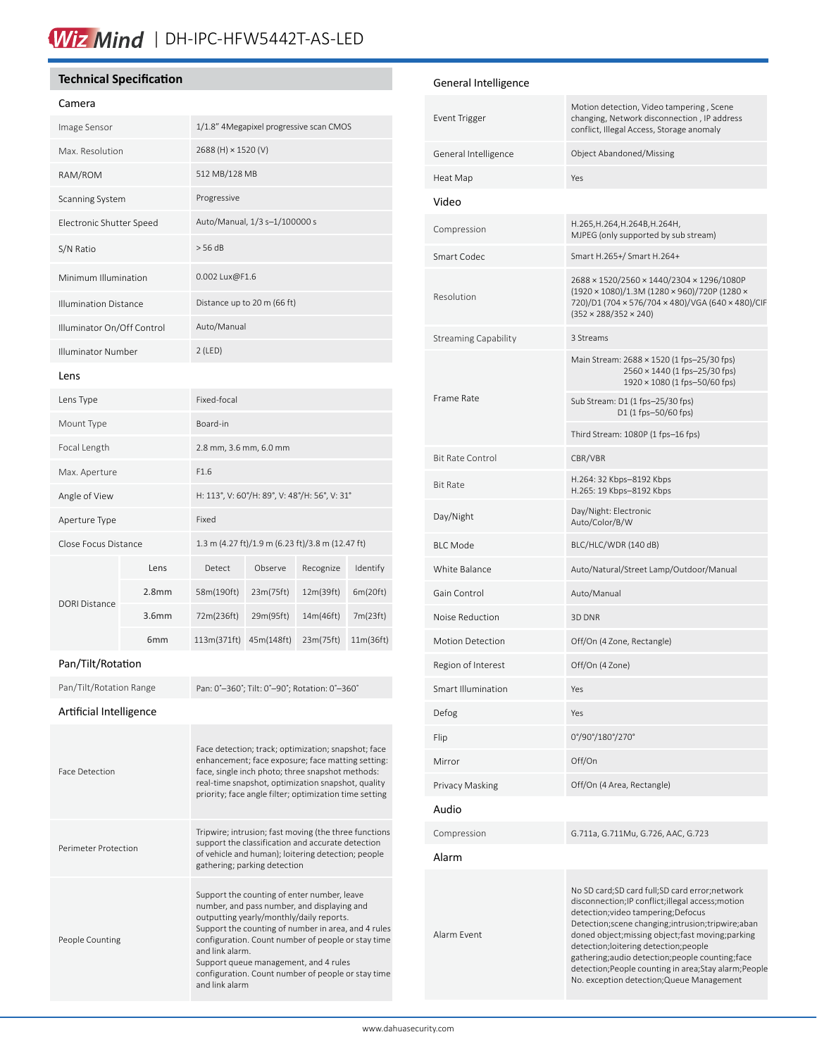# Wiz Mind | DH-IPC-HFW5442T-AS-LED

# **Technical Specification**

# Camera

| Image Sensor                 | 1/1.8" 4Megapixel progressive scan CMOS       |
|------------------------------|-----------------------------------------------|
| Max. Resolution              | 2688 (H) × 1520 (V)                           |
| RAM/ROM                      | 512 MB/128 MB                                 |
| <b>Scanning System</b>       | Progressive                                   |
| Electronic Shutter Speed     | Auto/Manual, 1/3 s-1/100000 s                 |
| S/N Ratio                    | > 56 dB                                       |
| Minimum Illumination         | 0.002 Lux@F1.6                                |
| <b>Illumination Distance</b> | Distance up to 20 m (66 ft)                   |
| Illuminator On/Off Control   | Auto/Manual                                   |
| Illuminator Number           | $2$ (LED)                                     |
| <b>Lens</b>                  |                                               |
| Lens Type                    | Fixed-focal                                   |
| Mount Type                   | Board-in                                      |
| Focal Length                 | 2.8 mm, 3.6 mm, 6.0 mm                        |
| Max. Aperture                | F1.6                                          |
| Angle of View                | H: 113°, V: 60°/H: 89°, V: 48°/H: 56°, V: 31° |
|                              |                                               |

| Aperture Type        |                   | Fixed                                            |            |           |           |
|----------------------|-------------------|--------------------------------------------------|------------|-----------|-----------|
| Close Focus Distance |                   | 1.3 m (4.27 ft)/1.9 m (6.23 ft)/3.8 m (12.47 ft) |            |           |           |
| DORI Distance        | Lens              | Detect                                           | Observe    | Recognize | Identify  |
|                      | 2.8 <sub>mm</sub> | 58m(190ft)                                       | 23m(75ft)  | 12m(39ft) | 6m(20ft)  |
|                      | 3.6 <sub>mm</sub> | 72m(236ft)                                       | 29m(95ft)  | 14m(46ft) | 7m(23ft)  |
|                      | 6 <sub>mm</sub>   | 113m(371ft)                                      | 45m(148ft) | 23m(75ft) | 11m(36ft) |

# Pan/Tilt/Rotation

Pan/Tilt/Rotation Range Pan: 0°-360°; Tilt: 0°-90°; Rotation: 0°-360°

Artificial Intelligence

| <b>Face Detection</b> | Face detection; track; optimization; snapshot; face<br>enhancement; face exposure; face matting setting:<br>face, single inch photo; three snapshot methods:<br>real-time snapshot, optimization snapshot, quality<br>priority; face angle filter; optimization time setting                                                                                          |
|-----------------------|-----------------------------------------------------------------------------------------------------------------------------------------------------------------------------------------------------------------------------------------------------------------------------------------------------------------------------------------------------------------------|
| Perimeter Protection  | Tripwire; intrusion; fast moving (the three functions<br>support the classification and accurate detection<br>of vehicle and human); loitering detection; people<br>gathering; parking detection                                                                                                                                                                      |
| People Counting       | Support the counting of enter number, leave<br>number, and pass number, and displaying and<br>outputting yearly/monthly/daily reports.<br>Support the counting of number in area, and 4 rules<br>configuration. Count number of people or stay time<br>and link alarm.<br>Support queue management, and 4 rules<br>configuration. Count number of people or stay time |

and link alarm

# General Intelligence

| Event Trigger               | Motion detection, Video tampering, Scene<br>changing, Network disconnection, IP address<br>conflict, Illegal Access, Storage anomaly                                                                                                                                                                                                                                                                                                                   |  |  |
|-----------------------------|--------------------------------------------------------------------------------------------------------------------------------------------------------------------------------------------------------------------------------------------------------------------------------------------------------------------------------------------------------------------------------------------------------------------------------------------------------|--|--|
| General Intelligence        | Object Abandoned/Missing                                                                                                                                                                                                                                                                                                                                                                                                                               |  |  |
| Heat Map                    | Yes                                                                                                                                                                                                                                                                                                                                                                                                                                                    |  |  |
| Video                       |                                                                                                                                                                                                                                                                                                                                                                                                                                                        |  |  |
| Compression                 | H.265, H.264, H.264B, H.264H,<br>MJPEG (only supported by sub stream)                                                                                                                                                                                                                                                                                                                                                                                  |  |  |
| Smart Codec                 | Smart H.265+/ Smart H.264+                                                                                                                                                                                                                                                                                                                                                                                                                             |  |  |
| Resolution                  | 2688 × 1520/2560 × 1440/2304 × 1296/1080P<br>(1920 × 1080)/1.3M (1280 × 960)/720P (1280 ×<br>720)/D1 (704 × 576/704 × 480)/VGA (640 × 480)/CIF<br>$(352 \times 288/352 \times 240)$                                                                                                                                                                                                                                                                    |  |  |
| <b>Streaming Capability</b> | 3 Streams                                                                                                                                                                                                                                                                                                                                                                                                                                              |  |  |
| Frame Rate                  | Main Stream: 2688 × 1520 (1 fps-25/30 fps)<br>2560 × 1440 (1 fps-25/30 fps)<br>1920 × 1080 (1 fps-50/60 fps)                                                                                                                                                                                                                                                                                                                                           |  |  |
|                             | Sub Stream: D1 (1 fps-25/30 fps)<br>D1 (1 fps-50/60 fps)                                                                                                                                                                                                                                                                                                                                                                                               |  |  |
|                             | Third Stream: 1080P (1 fps-16 fps)                                                                                                                                                                                                                                                                                                                                                                                                                     |  |  |
| <b>Bit Rate Control</b>     | CBR/VBR                                                                                                                                                                                                                                                                                                                                                                                                                                                |  |  |
| <b>Bit Rate</b>             | H.264: 32 Kbps-8192 Kbps<br>H.265: 19 Kbps-8192 Kbps                                                                                                                                                                                                                                                                                                                                                                                                   |  |  |
| Day/Night                   | Day/Night: Electronic<br>Auto/Color/B/W                                                                                                                                                                                                                                                                                                                                                                                                                |  |  |
| <b>BLC Mode</b>             | BLC/HLC/WDR (140 dB)                                                                                                                                                                                                                                                                                                                                                                                                                                   |  |  |
| White Balance               | Auto/Natural/Street Lamp/Outdoor/Manual                                                                                                                                                                                                                                                                                                                                                                                                                |  |  |
| Gain Control                | Auto/Manual                                                                                                                                                                                                                                                                                                                                                                                                                                            |  |  |
| Noise Reduction             | 3D DNR                                                                                                                                                                                                                                                                                                                                                                                                                                                 |  |  |
| <b>Motion Detection</b>     | Off/On (4 Zone, Rectangle)                                                                                                                                                                                                                                                                                                                                                                                                                             |  |  |
| Region of Interest          | Off/On (4 Zone)                                                                                                                                                                                                                                                                                                                                                                                                                                        |  |  |
| <b>Smart Illumination</b>   | Yes                                                                                                                                                                                                                                                                                                                                                                                                                                                    |  |  |
| Defog                       | Yes                                                                                                                                                                                                                                                                                                                                                                                                                                                    |  |  |
| Flip                        | 0°/90°/180°/270°                                                                                                                                                                                                                                                                                                                                                                                                                                       |  |  |
| Mirror                      | Off/On                                                                                                                                                                                                                                                                                                                                                                                                                                                 |  |  |
| Privacy Masking             | Off/On (4 Area, Rectangle)                                                                                                                                                                                                                                                                                                                                                                                                                             |  |  |
| Audio                       |                                                                                                                                                                                                                                                                                                                                                                                                                                                        |  |  |
| Compression                 | G.711a, G.711Mu, G.726, AAC, G.723                                                                                                                                                                                                                                                                                                                                                                                                                     |  |  |
| Alarm                       |                                                                                                                                                                                                                                                                                                                                                                                                                                                        |  |  |
| Alarm Event                 | No SD card;SD card full;SD card error;network<br>disconnection;IP conflict;illegal access;motion<br>detection; video tampering; Defocus<br>Detection; scene changing; intrusion; tripwire; aban<br>doned object; missing object; fast moving; parking<br>detection;loitering detection;people<br>gathering;audio detection;people counting;face<br>detection; People counting in area; Stay alarm; People<br>No. exception detection; Queue Management |  |  |